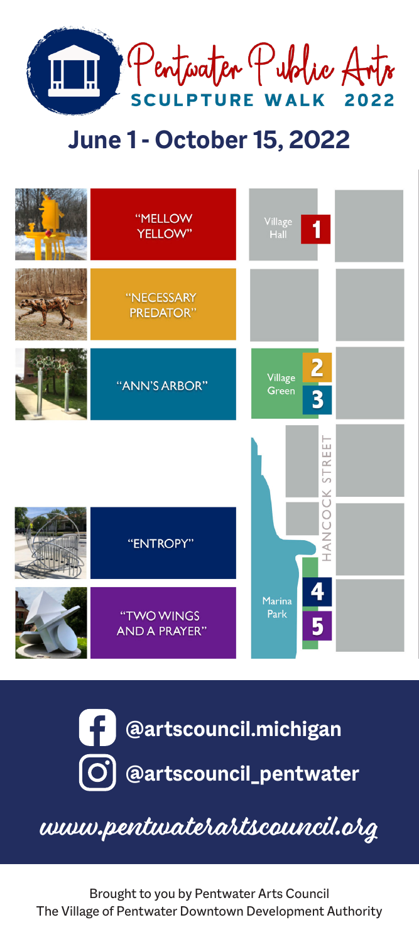

# June 1 - October 15, 2022





www.pentwaterartscouncil.org